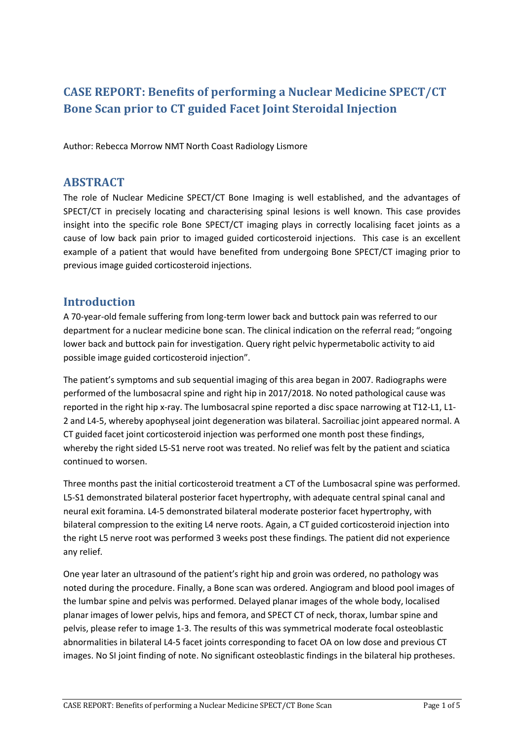# **CASE REPORT: Benefits of performing a Nuclear Medicine SPECT/CT Bone Scan prior to CT guided Facet Joint Steroidal Injection**

Author: Rebecca Morrow NMT North Coast Radiology Lismore

## **ABSTRACT**

The role of Nuclear Medicine SPECT/CT Bone Imaging is well established, and the advantages of SPECT/CT in precisely locating and characterising spinal lesions is well known. This case provides insight into the specific role Bone SPECT/CT imaging plays in correctly localising facet joints as a cause of low back pain prior to imaged guided corticosteroid injections. This case is an excellent example of a patient that would have benefited from undergoing Bone SPECT/CT imaging prior to previous image guided corticosteroid injections.

## **Introduction**

A 70-year-old female suffering from long-term lower back and buttock pain was referred to our department for a nuclear medicine bone scan. The clinical indication on the referral read; "ongoing lower back and buttock pain for investigation. Query right pelvic hypermetabolic activity to aid possible image guided corticosteroid injection".

The patient's symptoms and sub sequential imaging of this area began in 2007. Radiographs were performed of the lumbosacral spine and right hip in 2017/2018. No noted pathological cause was reported in the right hip x-ray. The lumbosacral spine reported a disc space narrowing at T12-L1, L1- 2 and L4-5, whereby apophyseal joint degeneration was bilateral. Sacroiliac joint appeared normal. A CT guided facet joint corticosteroid injection was performed one month post these findings, whereby the right sided L5-S1 nerve root was treated. No relief was felt by the patient and sciatica continued to worsen.

Three months past the initial corticosteroid treatment a CT of the Lumbosacral spine was performed. L5-S1 demonstrated bilateral posterior facet hypertrophy, with adequate central spinal canal and neural exit foramina. L4-5 demonstrated bilateral moderate posterior facet hypertrophy, with bilateral compression to the exiting L4 nerve roots. Again, a CT guided corticosteroid injection into the right L5 nerve root was performed 3 weeks post these findings. The patient did not experience any relief.

One year later an ultrasound of the patient's right hip and groin was ordered, no pathology was noted during the procedure. Finally, a Bone scan was ordered. Angiogram and blood pool images of the lumbar spine and pelvis was performed. Delayed planar images of the whole body, localised planar images of lower pelvis, hips and femora, and SPECT CT of neck, thorax, lumbar spine and pelvis, please refer to image 1-3. The results of this was symmetrical moderate focal osteoblastic abnormalities in bilateral L4-5 facet joints corresponding to facet OA on low dose and previous CT images. No SI joint finding of note. No significant osteoblastic findings in the bilateral hip protheses.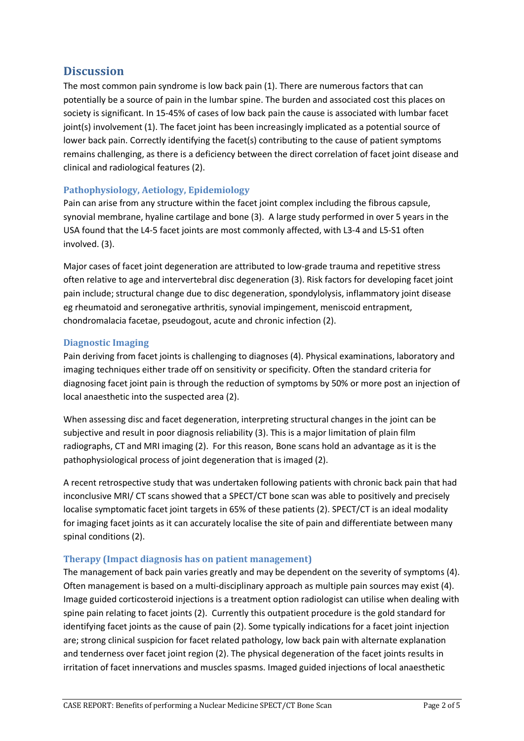# **Discussion**

The most common pain syndrome is low back pain (1). There are numerous factors that can potentially be a source of pain in the lumbar spine. The burden and associated cost this places on society is significant. In 15-45% of cases of low back pain the cause is associated with lumbar facet joint(s) involvement (1). The facet joint has been increasingly implicated as a potential source of lower back pain. Correctly identifying the facet(s) contributing to the cause of patient symptoms remains challenging, as there is a deficiency between the direct correlation of facet joint disease and clinical and radiological features (2).

#### **Pathophysiology, Aetiology, Epidemiology**

Pain can arise from any structure within the facet joint complex including the fibrous capsule, synovial membrane, hyaline cartilage and bone (3). A large study performed in over 5 years in the USA found that the L4-5 facet joints are most commonly affected, with L3-4 and L5-S1 often involved. (3).

Major cases of facet joint degeneration are attributed to low-grade trauma and repetitive stress often relative to age and intervertebral disc degeneration (3). Risk factors for developing facet joint pain include; structural change due to disc degeneration, spondylolysis, inflammatory joint disease eg rheumatoid and seronegative arthritis, synovial impingement, meniscoid entrapment, chondromalacia facetae, pseudogout, acute and chronic infection (2).

#### **Diagnostic Imaging**

Pain deriving from facet joints is challenging to diagnoses (4). Physical examinations, laboratory and imaging techniques either trade off on sensitivity or specificity. Often the standard criteria for diagnosing facet joint pain is through the reduction of symptoms by 50% or more post an injection of local anaesthetic into the suspected area (2).

When assessing disc and facet degeneration, interpreting structural changes in the joint can be subjective and result in poor diagnosis reliability (3). This is a major limitation of plain film radiographs, CT and MRI imaging (2). For this reason, Bone scans hold an advantage as it is the pathophysiological process of joint degeneration that is imaged (2).

A recent retrospective study that was undertaken following patients with chronic back pain that had inconclusive MRI/ CT scans showed that a SPECT/CT bone scan was able to positively and precisely localise symptomatic facet joint targets in 65% of these patients (2). SPECT/CT is an ideal modality for imaging facet joints as it can accurately localise the site of pain and differentiate between many spinal conditions (2).

#### **Therapy (Impact diagnosis has on patient management)**

The management of back pain varies greatly and may be dependent on the severity of symptoms (4). Often management is based on a multi-disciplinary approach as multiple pain sources may exist (4). Image guided corticosteroid injections is a treatment option radiologist can utilise when dealing with spine pain relating to facet joints (2). Currently this outpatient procedure is the gold standard for identifying facet joints as the cause of pain (2). Some typically indications for a facet joint injection are; strong clinical suspicion for facet related pathology, low back pain with alternate explanation and tenderness over facet joint region (2). The physical degeneration of the facet joints results in irritation of facet innervations and muscles spasms. Imaged guided injections of local anaesthetic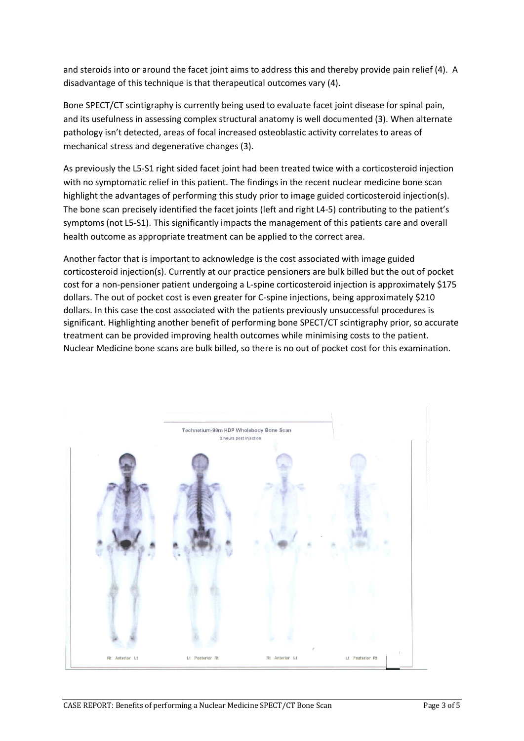and steroids into or around the facet joint aims to address this and thereby provide pain relief (4). A disadvantage of this technique is that therapeutical outcomes vary (4).

Bone SPECT/CT scintigraphy is currently being used to evaluate facet joint disease for spinal pain, and its usefulness in assessing complex structural anatomy is well documented (3). When alternate pathology isn't detected, areas of focal increased osteoblastic activity correlates to areas of mechanical stress and degenerative changes (3).

As previously the L5-S1 right sided facet joint had been treated twice with a corticosteroid injection with no symptomatic relief in this patient. The findings in the recent nuclear medicine bone scan highlight the advantages of performing this study prior to image guided corticosteroid injection(s). The bone scan precisely identified the facet joints (left and right L4-5) contributing to the patient's symptoms (not L5-S1). This significantly impacts the management of this patients care and overall health outcome as appropriate treatment can be applied to the correct area.

Another factor that is important to acknowledge is the cost associated with image guided corticosteroid injection(s). Currently at our practice pensioners are bulk billed but the out of pocket cost for a non-pensioner patient undergoing a L-spine corticosteroid injection is approximately \$175 dollars. The out of pocket cost is even greater for C-spine injections, being approximately \$210 dollars. In this case the cost associated with the patients previously unsuccessful procedures is significant. Highlighting another benefit of performing bone SPECT/CT scintigraphy prior, so accurate treatment can be provided improving health outcomes while minimising costs to the patient. Nuclear Medicine bone scans are bulk billed, so there is no out of pocket cost for this examination.

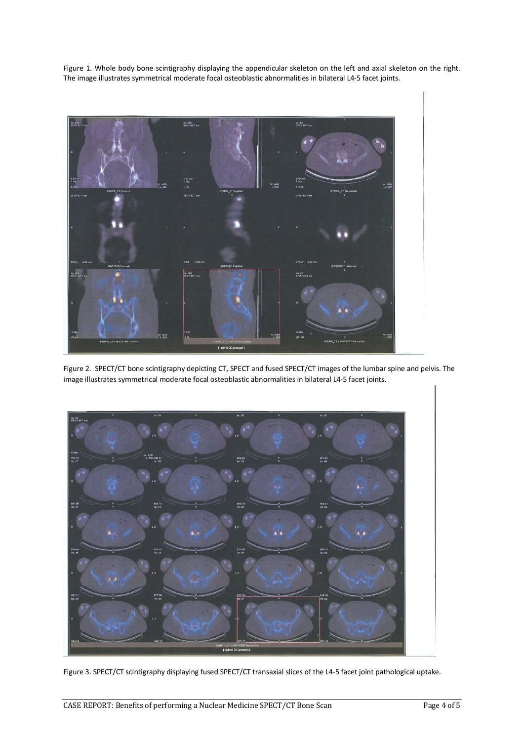Figure 1. Whole body bone scintigraphy displaying the appendicular skeleton on the left and axial skeleton on the right. The image illustrates symmetrical moderate focal osteoblastic abnormalities in bilateral L4-5 facet joints.



Figure 2. SPECT/CT bone scintigraphy depicting CT, SPECT and fused SPECT/CT images of the lumbar spine and pelvis. The image illustrates symmetrical moderate focal osteoblastic abnormalities in bilateral L4-5 facet joints.



Figure 3. SPECT/CT scintigraphy displaying fused SPECT/CT transaxial slices of the L4-5 facet joint pathological uptake.